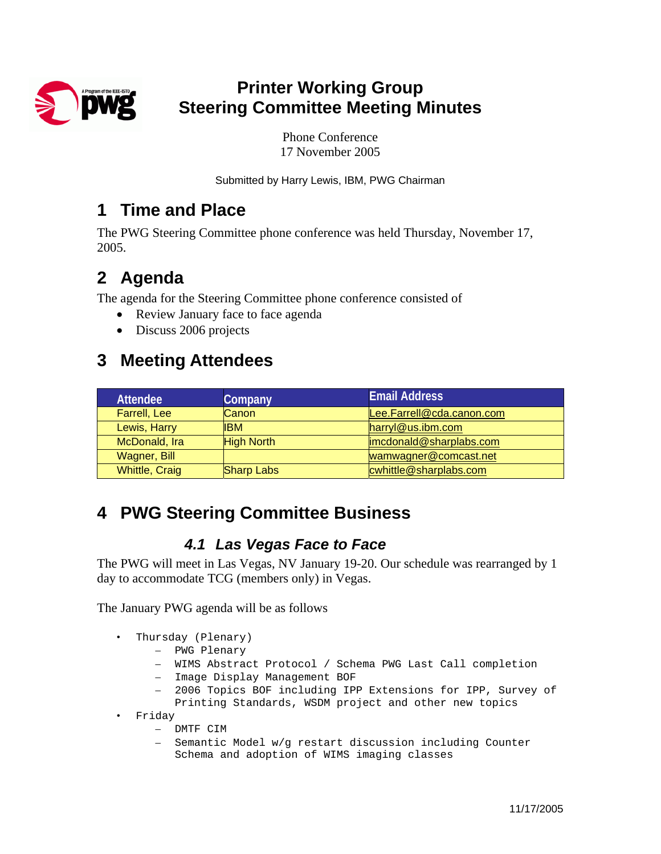

## **Printer Working Group Steering Committee Meeting Minutes**

Phone Conference 17 November 2005

Submitted by Harry Lewis, IBM, PWG Chairman

### **1 Time and Place**

The PWG Steering Committee phone conference was held Thursday, November 17, 2005.

## **2 Agenda**

The agenda for the Steering Committee phone conference consisted of

- Review January face to face agenda
- Discuss 2006 projects

## **3 Meeting Attendees**

| <b>Attendee</b>       | Company           | <b>Email Address</b>      |
|-----------------------|-------------------|---------------------------|
| <b>Farrell, Lee</b>   | Canon             | Lee.Farrell@cda.canon.com |
| Lewis, Harry          | <b>IBM</b>        | harryl@us.ibm.com         |
| McDonald, Ira         | <b>High North</b> | imcdonald@sharplabs.com   |
| Wagner, Bill          |                   | wamwagner@comcast.net     |
| <b>Whittle, Craig</b> | <b>Sharp Labs</b> | cwhittle@sharplabs.com    |

# **4 PWG Steering Committee Business**

#### *4.1 Las Vegas Face to Face*

The PWG will meet in Las Vegas, NV January 19-20. Our schedule was rearranged by 1 day to accommodate TCG (members only) in Vegas.

The January PWG agenda will be as follows

- Thursday (Plenary)
	- PWG Plenary
	- WIMS Abstract Protocol / Schema PWG Last Call completion
	- Image Display Management BOF
	- 2006 Topics BOF including IPP Extensions for IPP, Survey of Printing Standards, WSDM project and other new topics
- Friday
	- DMTF CIM
	- Semantic Model w/g restart discussion including Counter Schema and adoption of WIMS imaging classes